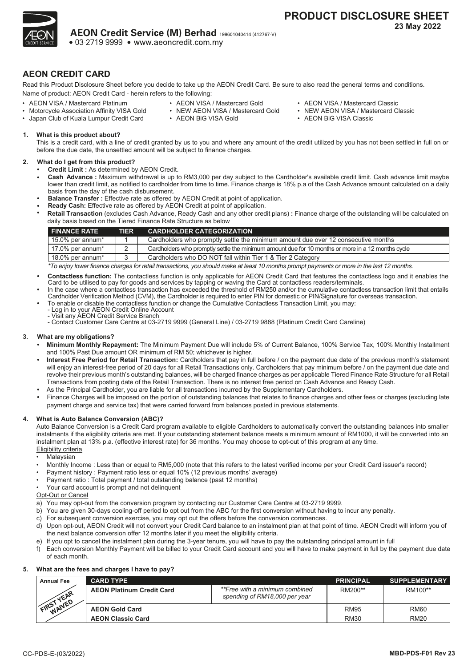

# **AEON CREDIT CARD**

Read this Product Disclosure Sheet before you decide to take up the AEON Credit Card. Be sure to also read the general terms and conditions. Name of product: AEON Credit Card - herein refers to the following:

- AEON VISA / Mastercard Platinum • Motorcycle Association Affinity VISA Gold
- AEON VISA / Mastercard Gold
- NEW AEON VISA / Mastercard Gold
- AEON BiG VISA Gold
- AEON VISA / Mastercard Classic
- NEW AEON VISA / Mastercard Classic
- AEON BiG VISA Classic

**1. What is this product about?**

• Japan Club of Kuala Lumpur Credit Card

This is a credit card, with a line of credit granted by us to you and where any amount of the credit utilized by you has not been settled in full on or before the due date, the unsettled amount will be subject to finance charges.

#### **2. What do I get from this product?**

**•**

- **• Credit Limit :** As determined by AEON Credit.
	- **Cash Advance :** Maximum withdrawal is up to RM3,000 per day subject to the Cardholder's available credit limit. Cash advance limit maybe lower than credit limit, as notified to cardholder from time to time. Finance charge is 18% p.a of the Cash Advance amount calculated on a daily basis from the day of the cash disbursement.
- **• Balance Transfer :** Effective rate as offered by AEON Credit at point of application.
- **• • Ready Cash:** Effective rate as offered by AEON Credit at point of application. **Retail Transaction** (excludes Cash Advance, Ready Cash and any other credit plans) **:** Finance charge of the outstanding will be calculated on

| daily basis based on the Tiered Finance Rate Structure as below        |    |                                                                                                   |  |  |  |  |  |  |
|------------------------------------------------------------------------|----|---------------------------------------------------------------------------------------------------|--|--|--|--|--|--|
| <b>CARDHOLDER CATEGORIZATION</b><br><b>FINANCE RATE</b><br><b>TIER</b> |    |                                                                                                   |  |  |  |  |  |  |
| 15.0% per annum*                                                       |    | Cardholders who promptly settle the minimum amount due over 12 consecutive months                 |  |  |  |  |  |  |
| 17.0% per annum*                                                       |    | Cardholders who promptly settle the minimum amount due for 10 months or more in a 12 months cycle |  |  |  |  |  |  |
| 18.0% per annum*                                                       | ્ર | Cardholders who DO NOT fall within Tier 1 & Tier 2 Category                                       |  |  |  |  |  |  |

*\*To enjoy lower finance charges for retail transactions, you should make at least 10 months prompt payments or more in the last 12 months.*

- **• Contactless function:** The contactless function is only applicable for AEON Credit Card that features the contactless logo and it enables the Card to be utilised to pay for goods and services by tapping or waving the Card at contactless readers/terminals.
- In the case where a contactless transaction has exceeded the threshold of RM250 and/or the cumulative contactless transaction limit that entails<br>Cardholder Verification Method (CVM), the Cardholder is required to enter PIN
- **•** To enable or disable the contactless function or change the Cumulative Contactless Transaction Limit, you may:
- Log in to your AEON Credit Online Account Visit any AEON Credit Service Branch
- Contact Customer Care Centre at 03-2719 9999 (General Line) / 03-2719 9888 (Platinum Credit Card Careline)

#### **3. What are my obligations?**

- **• Minimum Monthly Repayment:** The Minimum Payment Due will include 5% of Current Balance, 100% Service Tax, 100% Monthly Installment and 100% Past Due amount OR minimum of RM 50; whichever is higher.
- **• Interest Free Period for Retail Transaction:** Cardholders that pay in full before / on the payment due date of the previous month's statement will enjoy an interest-free period of 20 days for all Retail Transactions only. Cardholders that pay minimum before / on the payment due date and revolve their previous month's outstanding balances, will be charged finance charges as per applicable Tiered Finance Rate Structure for all Retail Transactions from posting date of the Retail Transaction. There is no interest free period on Cash Advance and Ready Cash.
- **•** As the Principal Cardholder, you are liable for all transactions incurred by the Supplementary Cardholders.
- **•** Finance Charges will be imposed on the portion of outstanding balances that relates to finance charges and other fees or charges (excluding late payment charge and service tax) that were carried forward from balances posted in previous statements.

## **4. What is Auto Balance Conversion (ABC)?**

Auto Balance Conversion is a Credit Card program available to eligible Cardholders to automatically convert the outstanding balances into smaller instalments if the eligibility criteria are met. If your outstanding statement balance meets a minimum amount of RM1000, it will be converted into an instalment plan at 13% p.a. (effective interest rate) for 36 months. You may choose to opt-out of this program at any time. Eligibility criteria

- **Malaysian**
- Monthly Income : Less than or equal to RM5,000 (note that this refers to the latest verified income per your Credit Card issuer's record)
- Payment history : Payment ratio less or equal 10% (12 previous months' average)
- Payment ratio : Total payment / total outstanding balance (past 12 months)
- Your card account is prompt and not delinquent

**Opt-Out or Cancel** 

- a) You may opt-out from the conversion program by contacting our Customer Care Centre at 03-2719 9999.
- b) You are given 30-days cooling-off period to opt out from the ABC for the first conversion without having to incur any penalty.
- c) For subsequent conversion exercise, you may opt out the offers before the conversion commences.
- d) Upon opt-out, AEON Credit will not convert your Credit Card balance to an instalment plan at that point of time. AEON Credit will inform you of the next balance conversion offer 12 months later if you meet the eligibility criteria.
- e) If you opt to cancel the instalment plan during the 3-year tenure, you will have to pay the outstanding principal amount in full
- f) Each conversion Monthly Payment will be billed to your Credit Card account and you will have to make payment in full by the payment due date of each month.

#### **5. What are the fees and charges I have to pay?**

| <b>Annual Fee</b> | <b>CARD TYPE</b>                 |                                                                 | <b>PRINCIPAL</b> | <b>SUPPLEMENTARY</b> |
|-------------------|----------------------------------|-----------------------------------------------------------------|------------------|----------------------|
| VEAR              | <b>AEON Platinum Credit Card</b> | **Free with a minimum combined<br>spending of RM18,000 per year | RM200**          | RM100**              |
| WAIVED<br>FIRST   | <b>AEON Gold Card</b>            |                                                                 | <b>RM95</b>      | <b>RM60</b>          |
|                   | <b>AEON Classic Card</b>         |                                                                 | <b>RM30</b>      | <b>RM20</b>          |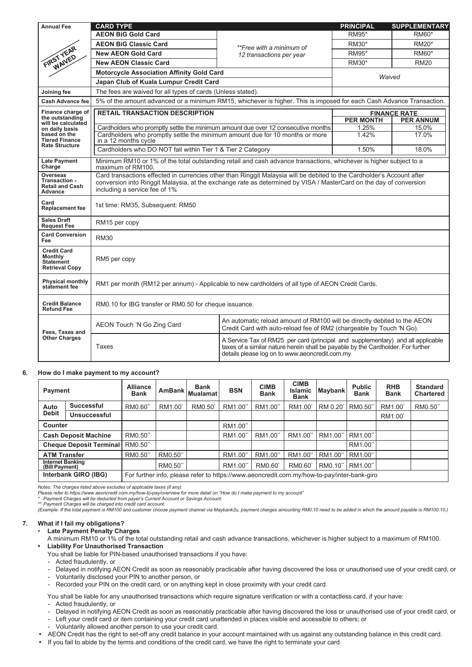| <b>Annual Fee</b>                                                                 | <b>CARD TYPE</b>                                                                                                                                                                                                                                                              |                                                                                                                                                                                                                       | <b>PRINCIPAL</b> | <b>SUPPLEMENTARY</b> |  |  |  |
|-----------------------------------------------------------------------------------|-------------------------------------------------------------------------------------------------------------------------------------------------------------------------------------------------------------------------------------------------------------------------------|-----------------------------------------------------------------------------------------------------------------------------------------------------------------------------------------------------------------------|------------------|----------------------|--|--|--|
|                                                                                   | <b>AEON BiG Gold Card</b>                                                                                                                                                                                                                                                     |                                                                                                                                                                                                                       | RM95*            | RM60*                |  |  |  |
|                                                                                   | <b>AEON BiG Classic Card</b>                                                                                                                                                                                                                                                  | **Free with a minimum of                                                                                                                                                                                              | RM30*            | RM20*                |  |  |  |
| FIRST YEAR<br>WAIVED                                                              | <b>New AEON Gold Card</b>                                                                                                                                                                                                                                                     | 12 transactions per year                                                                                                                                                                                              | <b>RM95*</b>     | RM60*                |  |  |  |
|                                                                                   | <b>New AEON Classic Card</b>                                                                                                                                                                                                                                                  |                                                                                                                                                                                                                       | <b>RM30*</b>     | <b>RM20</b>          |  |  |  |
|                                                                                   | <b>Motorcycle Association Affinity Gold Card</b>                                                                                                                                                                                                                              |                                                                                                                                                                                                                       | Waived           |                      |  |  |  |
|                                                                                   | Japan Club of Kuala Lumpur Credit Card                                                                                                                                                                                                                                        |                                                                                                                                                                                                                       |                  |                      |  |  |  |
| Joining fee                                                                       | The fees are waived for all types of cards (Unless stated).                                                                                                                                                                                                                   |                                                                                                                                                                                                                       |                  |                      |  |  |  |
| <b>Cash Advance fee</b>                                                           | 5% of the amount advanced or a minimum RM15, whichever is higher. This is imposed for each Cash Advance Transaction.                                                                                                                                                          |                                                                                                                                                                                                                       |                  |                      |  |  |  |
| Finance charge of                                                                 | <b>RETAIL TRANSACTION DESCRIPTION</b>                                                                                                                                                                                                                                         |                                                                                                                                                                                                                       |                  | <b>FINANCE RATE</b>  |  |  |  |
| the outstanding<br>will be calculated                                             |                                                                                                                                                                                                                                                                               |                                                                                                                                                                                                                       | <b>PER MONTH</b> | <b>PER ANNUM</b>     |  |  |  |
| on daily basis                                                                    | Cardholders who promptly settle the minimum amount due over 12 consecutive months                                                                                                                                                                                             |                                                                                                                                                                                                                       | 1.25%            | 15.0%                |  |  |  |
| based on the<br><b>Tiered Finance</b>                                             | Cardholders who promptly settle the minimum amount due for 10 months or more<br>in a 12 months cycle                                                                                                                                                                          |                                                                                                                                                                                                                       | 1.42%            | 17.0%                |  |  |  |
| <b>Rate Structure</b>                                                             | Cardholders who DO NOT fall within Tier 1 & Tier 2 Category                                                                                                                                                                                                                   |                                                                                                                                                                                                                       | 1.50%            | 18.0%                |  |  |  |
| <b>Late Payment</b><br>Charge                                                     | Minimum RM10 or 1% of the total outstanding retail and cash advance transactions, whichever is higher subject to a<br>maximum of RM100.                                                                                                                                       |                                                                                                                                                                                                                       |                  |                      |  |  |  |
| Overseas<br>Transaction -<br><b>Retail and Cash</b><br>Advance                    | Card transactions effected in currencies other than Ringgit Malaysia will be debited to the Cardholder's Account after<br>conversion into Ringgit Malaysia, at the exchange rate as determined by VISA / MasterCard on the day of conversion<br>including a service fee of 1% |                                                                                                                                                                                                                       |                  |                      |  |  |  |
| Card<br><b>Replacement fee</b>                                                    | 1st time: RM35, Subsequent: RM50                                                                                                                                                                                                                                              |                                                                                                                                                                                                                       |                  |                      |  |  |  |
| <b>Sales Draft</b><br><b>Request Fee</b>                                          | RM15 per copy                                                                                                                                                                                                                                                                 |                                                                                                                                                                                                                       |                  |                      |  |  |  |
| <b>Card Conversion</b><br><b>Fee</b>                                              | <b>RM30</b>                                                                                                                                                                                                                                                                   |                                                                                                                                                                                                                       |                  |                      |  |  |  |
| <b>Credit Card</b><br><b>Monthly</b><br><b>Statement</b><br><b>Retrieval Copy</b> | RM5 per copy                                                                                                                                                                                                                                                                  |                                                                                                                                                                                                                       |                  |                      |  |  |  |
| <b>Physical monthly</b><br>statement fee                                          | RM1 per month (RM12 per annum) - Applicable to new cardholders of all type of AEON Credit Cards.                                                                                                                                                                              |                                                                                                                                                                                                                       |                  |                      |  |  |  |
| <b>Credit Balance</b><br><b>Refund Fee</b>                                        | RM0.10 for IBG transfer or RM0.50 for cheque issuance.                                                                                                                                                                                                                        |                                                                                                                                                                                                                       |                  |                      |  |  |  |
| Fees, Taxes and                                                                   | An automatic reload amount of RM100 will be directly debited to the AEON<br>AEON Touch 'N Go Zing Card<br>Credit Card with auto-reload fee of RM2 (chargeable by Touch 'N Go).                                                                                                |                                                                                                                                                                                                                       |                  |                      |  |  |  |
| <b>Other Charges</b>                                                              | Taxes                                                                                                                                                                                                                                                                         | A Service Tax of RM25 per card (principal and supplementary) and all applicable<br>taxes of a similar nature herein shall be payable by the Cardholder. For further<br>details please log on to www.aeoncredit.com.my |                  |                      |  |  |  |

#### **6. How do I make payment to my account?**

| Payment                            |                      | <b>Alliance</b><br><b>Bank</b> | <b>AmBank</b>       | <b>Bank</b><br>Mualamat                                                                    | <b>BSN</b> | <b>CIMB</b><br><b>Bank</b> | <b>CIMB</b><br><b>Islamic</b><br>Bank | Maybank | <b>Public</b><br><b>Bank</b> | <b>RHB</b><br><b>Bank</b> | <b>Standard</b><br><b>Chartered</b> |
|------------------------------------|----------------------|--------------------------------|---------------------|--------------------------------------------------------------------------------------------|------------|----------------------------|---------------------------------------|---------|------------------------------|---------------------------|-------------------------------------|
| Auto                               | <b>Successful</b>    | RM0.60"                        | RM1.00 <sup>*</sup> | RM0.50                                                                                     | RM1.00"    | RM1.00"                    | RM1.00                                | RM 0.20 | RM0.50"                      | RM1.00 <sup>*</sup>       | RM0.50"                             |
| <b>Debit</b>                       | Unsuccessful         |                                |                     |                                                                                            |            |                            |                                       |         |                              | RM1.00                    |                                     |
| Counter                            |                      |                                |                     |                                                                                            | RM1.00"    |                            |                                       |         |                              |                           |                                     |
| <b>Cash Deposit Machine</b>        |                      | RM0.50"                        |                     |                                                                                            | RM1.00"    | RM1.00"                    | RM1.00"                               | RM1.00" | RM1.00"                      |                           |                                     |
| <b>Cheque Deposit Terminal</b>     |                      | RM0.50"                        |                     |                                                                                            |            |                            |                                       |         | RM1.00"                      |                           |                                     |
| <b>ATM Transfer</b>                |                      | RM0.50"                        | RM0.50"             |                                                                                            | RM1.00"    | RM1.00"                    | RM1.00"                               | RM1.00" | RM1.00"                      |                           |                                     |
| Internet Banking<br>(Bill Payment) |                      |                                | RM0.50"             |                                                                                            | RM1.00"    | RM0.60                     | RM0.60                                | RM0.10" | RM1.00"                      |                           |                                     |
|                                    | Interbank GIRO (IBG) |                                |                     | For further info, please refer to https://www.aeoncredit.com.my/how-to-pay/inter-bank-giro |            |                            |                                       |         |                              |                           |                                     |

*Notes: The charges listed above excludes of applicable taxes (if any).*

*Please refer to https://www.aeoncredit.com.my/how-to-pay/overview for more detail on "How do I make payment to my account" \* Payment Charges will be deducted from payer's Current Account or Savings Account.*

\*\* Payment Charges will be charged into credit card account.<br>(Example: If the total payment is RM100 and customer choose payment channel via Maybank2u, payment charges amounting RM0.10 need to be added in which the amount

# **7. What if I fail my obligations?**

• **Late Payment Penalty Charges**

- A minimum RM10 or 1% of the total outstanding retail and cash advance transactions, whichever is higher subject to a maximum of RM100. **• Liability For Unauthorised Transaction**
- You shall be liable for PIN-based unauthorised transactions if you have:
- Acted fraudulently, or
- Delayed in notifying AEON Credit as soon as reasonably practicable after having discovered the loss or unauthorised use of your credit card, or
- Voluntarily disclosed your PIN to another person, or
- Recorded your PIN on the credit card, or on anything kept in close proximity with your credit card.

You shall be liable for any unauthorised transactions which require signature verification or with a contactless card, if your have:

- Acted fraudulently, or - Delayed in notifying AEON Credit as soon as reasonably practicable after having discovered the loss or unauthorised use of your credit card, or
- Left your credit card or item containing your credit card unattended in places visible and accessible to others; or
- Voluntarily allowed another person to use your credit card.
- **•** AEON Credit has the right to set-off any credit balance in your account maintained with us against any outstanding balance in this credit card.
- **•** If you fail to abide by the terms and conditions of the credit card, we have the right to terminate your card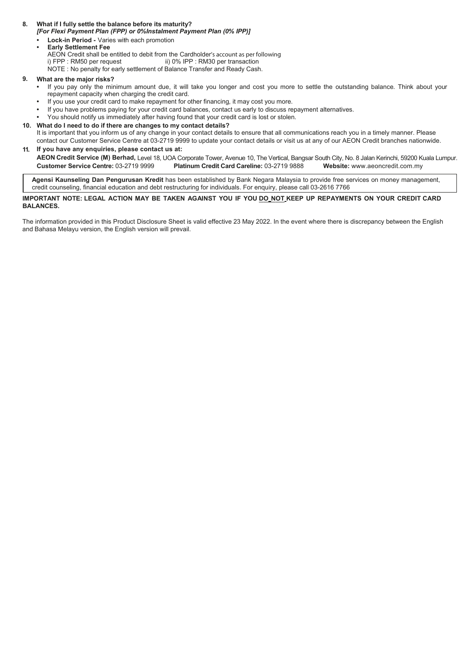#### **What if I fully settle the balance before its maturity? 8.**

*[For Flexi Payment Plan (FPP) or 0%Instalment Payment Plan (0% IPP)]* 

. **• Lock-in Period -** Varies with each promotion **• Early Settlement Fee**

- AEON Credit shall be entitled to debit from the Cardholder's account as per following i) FPP : RM50 per request ii) 0% IPP : RM30 per transaction
- 
- ii) 0% IPP : RM30 per transaction NOTE : No penalty for early settlement of Balance Transfer and Ready Cash.

#### **What are the major risks? 9.**

- **•** If you pay only the minimum amount due, it will take you longer and cost you more to settle the outstanding balance. Think about your repayment capacity when charging the credit card.
- **•** If you use your credit card to make repayment for other financing, it may cost you more.
- **•** If you have problems paying for your credit card balances, contact us early to discuss repayment alternatives.
- **•** You should notify us immediately after having found that your credit card is lost or stolen.

#### **What do I need to do if there are changes to my contact details? 10.**

It is important that you inform us of any change in your contact details to ensure that all communications reach you in a timely manner. Please contact our Customer Service Centre at 03-2719 9999 to update your contact details or visit us at any of our AEON Credit branches nationwide.

#### **11. If you have any enquiries, please contact us at:** :

**AEON Credit Service (M) Berhad,** Level 18, UOA Corporate Tower, Avenue 10, The Vertical, Bangsar South City, No. 8 Jalan Kerinchi, 59200 Kuala Lumpur. **Customer Service Centre:** 03-2719 9999 **Platinum Credit Card Careline:** 03-2719 9888 **Website:** www.aeoncredit.com.my

**Agensi Kaunseling Dan Pengurusan Kredit** has been established by Bank Negara Malaysia to provide free services on money management, credit counseling, financial education and debt restructuring for individuals. For enquiry, please call 03-2616 7766

#### **IMPORTANT NOTE: LEGAL ACTION MAY BE TAKEN AGAINST YOU IF YOU DO NOT KEEP UP REPAYMENTS ON YOUR CREDIT CARD BALANCES.**

The information provided in this Product Disclosure Sheet is valid effective 23 May 2022. In the event where there is discrepancy between the English and Bahasa Melayu version, the English version will prevail.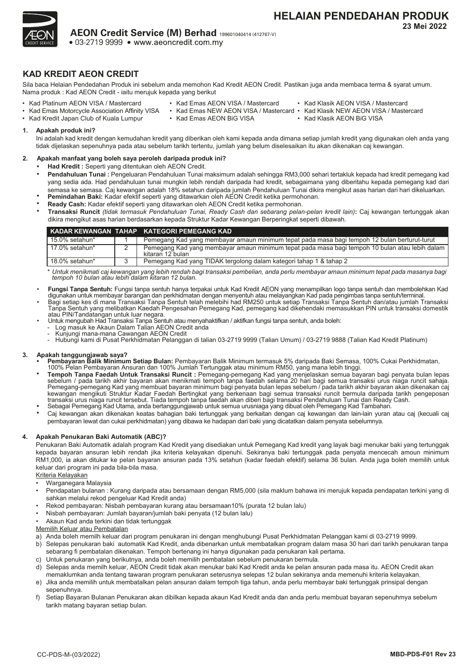

# **KAD KREDIT AEON CREDIT**

Sila baca Helaian Pendedahan Produk ini sebelum anda memohon Kad Kredit AEON Credit. Pastikan juga anda membaca terma & syarat umum. Nama produk : Kad AEON Credit - iaitu merujuk kepada yang berikut

- Kad Platinum AEON VISA / Mastercard
- Kad Emas AEON VISA / Mastercard
	-
- Kad Emas Motorcycle Association Affinity VISA
	-
- Kad Klasik AEON VISA / Mastercard
	-
- Kad Kredit Japan Club of Kuala Lumpur
- 
- 
- 
- 
- Kad Emas AEON BiG VISA
- Kad Emas NEW AEON VISA / Mastercard Kad Klasik NEW AEON VISA / Mastercard
	- Kad Klasik AEON BiG VISA

**1. Apakah produk ini?**

Ini adalah kad kredit dengan kemudahan kredit yang diberikan oleh kami kepada anda dimana setiap jumlah kredit yang digunakan oleh anda yang tidak dijelaskan sepenuhnya pada atau sebelum tarikh tertentu, jumlah yang belum diselesaikan itu akan dikenakan caj kewangan.

## **2. Apakah manfaat yang boleh saya peroleh daripada produk ini?**

- **• Had Kredit :** Seperti yang ditentukan oleh AEON Credit.
- **• Pendahuluan Tunai :** Pengeluaran Pendahuluan Tunai maksimum adalah sehingga RM3,000 sehari tertakluk kepada had kredit pemegang kad yang sedia ada. Had pendahuluan tunai mungkin lebih rendah daripada had kredit, sebagaimana yang diberitahu kepada pemegang kad dari semasa ke semasa. Caj kewangan adalah 18% setahun daripada jumlah Pendahuluan Tunai dikira mengikut asas harian dari hari dikeluarkan.<br>Pemindahan Baki: Kadar efektif seperti yang ditawarkan oleh AEON Credit ketika permohon
- **• Ready Cash:** Kadar efektif seperti yang ditawarkan oleh AEON Credit ketika permohonan.
- **• Transaksi Runcit** *(tidak termasuk Pendahuluan Tunai, Ready Cash dan sebarang pelan-pelan kredit lain)***:** Caj kewangan tertunggak akan dikira mengikut asas harian berdasarkan kepada Struktur Kadar Kewangan Berperingkat seperti dibawah.

|                | KADAR KEWANGAN TAHAP KATEGORI PEMEGANG KAD                                                                         |
|----------------|--------------------------------------------------------------------------------------------------------------------|
| 15.0% setahun* | Pemegang Kad yang membayar amaun minimum tepat pada masa bagi tempoh 12 bulan berturut-turut                       |
| 17.0% setahun* | Pemegang Kad yang membayar amaun minimum tepat pada masa bagi tempoh 10 bulan atau lebih dalam<br>kitaran 12 bulan |
| 18.0% setahun* | Pemegang Kad yang TIDAK tergolong dalam kategori tahap 1 & tahap 2                                                 |

*\* Untuk menikmati caj kewangan yang lebih rendah bagi transaksi pembelian, anda perlu membayar amaun minimum tepat pada masanya bagi tempoh 10 bulan atau lebih dalam kitaran 12 bulan.*

- **Fungsi Tanpa Sentuh:** Fungsi tanpa sentuh hanya terpakai untuk Kad Kredit AEON yang menampilkan logo tanpa sentuh dan membolehkan Kad digunakan untuk membayar barangan dan perkhidmatan dengan menyentuh atau melayangkan Kad pada pengimbas tanpa sentuh/terminal.<br>Bagi setiap kes di mana Transaksi Tanpa Sentuh telah melebihi had RM250 untuk setiap Transaksi
- Tanpa Sentuh yang melibatkan Kaedah Pengesahan Pemegang Kad, pemegang kad dikehendaki memasukkan PIN untuk transaksi domestik<br>atau PIN/Tandatangan untuk luar negara. atau PIN/Tandatangan untuk luar negara. • Untuk mengubah Had Transaksi Tanpa Sentuh atau menyahaktifkan / aktifkan fungsi tanpa sentuh, anda boleh: - Log masuk ke Akaun Dalam Talian AEON Credit anda
- 
- 
- 
- Kunjungi mana-mana Cawangan AEON Credit Hubungi kami di Pusat Perkhidmatan Pelanggan di talian 03-2719 9999 (Talian Umum) / 03-2719 9888 (Talian Kad Kredit Platinum)

## **3. Apakah tanggungjawab saya?**

- **Pembayaran Balik Minimum Setiap Bulan:** Pembayaran Balik Minimum termasuk 5% daripada Baki Semasa, 100% Cukai Perkhidmatan,<br>100% Pelan Pembayaran Ansuran dan 100% Jumlah Tertunggak atau minimum RM50, yang mana lebih
- **• Tempoh Tanpa Faedah Untuk Transaksi Runcit** : Pemegang-pemegang Kad yang menjelaskan semua bayaran bagi penyata bulan lepas<br>sebelum / pada tarikh akhir bayaran akan menikmati tempoh tanpa faedah selama 20 hari bagi semua Pemegang-pemegang Kad yang membuat bayaran minimum bagi penyata bulan lepas sebelum / pada tarikh akhir bayaran akan dikenakan caj transaksi urus niaga runcit tersebut. Tiada tempoh tanpa faedah akan diberi bagi transaksi Pendahuluan Tunai dan Ready Cash.
- **•** Sebagai Pemegang Kad Utama, anda bertanggungjawab untuk semua urusniaga yang dibuat oleh Pemegang Kad Tambahan.
- **•** Caj kewangan akan dikenakan keatas bahagian baki tertunggak yang berkaitan dengan caj kewangan dan lain-lain yuran atau caj (kecuali caj pembayaran lewat dan cukai perkhidmatan) yang dibawa ke hadapan dari baki yang dicatatkan dalam penyata sebelumnya.

## **4. Apakah Penukaran Baki Automatik (ABC)?**

Penukaran Baki Automatik adalah program Kad Kredit yang disediakan untuk Pemegang Kad kredit yang layak bagi menukar baki yang tertunggak kepada bayaran ansuran lebih rendah jika kriteria kelayakan dipenuhi. Sekiranya baki tertunggak pada penyata mencecah amoun minimum RM1,000, ia akan ditukar ke pelan bayaran ansuran pada 13% setahun (kadar faedah efektif) selama 36 bulan. Anda juga boleh memilih untuk keluar dari program ini pada bila-bila masa.

Kriteria Kelayakan

- Warganegara Malaysia
- Pendapatan bulanan : Kurang daripada atau bersamaan dengan RM5,000 (sila maklum bahawa ini merujuk kepada pendapatan terkini yang di sahkan melalui rekod pengeluar Kad Kredit anda)
- Rekod pembayaran: Nisbah pembayaran kurang atau bersamaan10% (purata 12 bulan lalu)
- Nisbah pembayaran: Jumlah bayaran/jumlah baki penyata (12 bulan lalu)
- Akaun Kad anda terkini dan tidak tertunggak

Memilih Keluar atau Pembatalan

- a) Anda boleh memilh keluar dari program penukaran ini dengan menghubungi Pusat Perkhidmatan Pelanggan kami di 03-2719 9999.
- b) Selepas penukaran baki automatik Kad Kredit, anda dibenarkan untuk membatalkan program dalam masa 30 hari dari tarikh penukaran tanpa sebarang fi pembatalan dikenakan. Tempoh bertenang ini hanya digunakan pada penukaran kali pertama.
- c) Untuk penukaran yang berikutnya, anda boleh memilih pembatalan sebelum penukaran bermula.
- d) Selepas anda memilh keluar, AEON Credit tidak akan menukar baki Kad Kredit anda ke pelan ansuran pada masa itu. AEON Credit akan memaklumkan anda tentang tawaran program penukaran seterusnya selepas 12 bulan sekiranya anda memenuhi kriteria kelayakan.
- e) Jika anda memilih untuk membatalkan pelan ansuran dalam tempoh tiga tahun, anda perlu membayar baki tertunggak prinsipal dengan sepenuhnya.
- f) Setiap Bayaran Bulanan Penukaran akan dibilkan kepada akaun Kad Kredit anda dan anda perlu membuat bayaran sepenuhmya sebelum tarikh matang bayaran setiap bulan.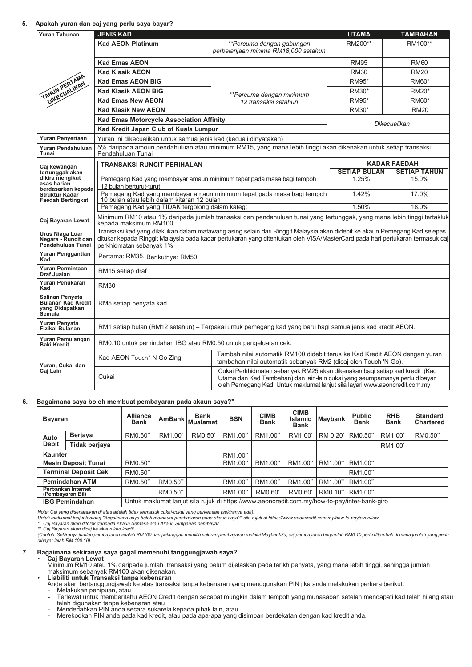#### **5. Apakah yuran dan caj yang perlu saya bayar?**

| <b>Yuran Tahunan</b>                                                      | <b>JENIS KAD</b>                                                                                                                                                                                                                                                                      |                                                                                                                                               | <b>UTAMA</b>        | <b>TAMBAHAN</b>     |  |  |  |
|---------------------------------------------------------------------------|---------------------------------------------------------------------------------------------------------------------------------------------------------------------------------------------------------------------------------------------------------------------------------------|-----------------------------------------------------------------------------------------------------------------------------------------------|---------------------|---------------------|--|--|--|
|                                                                           | <b>Kad AEON Platinum</b>                                                                                                                                                                                                                                                              | **Percuma dengan gabungan<br>perbelanjaan minima RM18,000 setahun                                                                             | RM200**             | RM100**             |  |  |  |
|                                                                           | <b>Kad Emas AEON</b>                                                                                                                                                                                                                                                                  |                                                                                                                                               | <b>RM95</b>         | <b>RM60</b>         |  |  |  |
|                                                                           | <b>Kad Klasik AEON</b>                                                                                                                                                                                                                                                                |                                                                                                                                               | <b>RM30</b>         | <b>RM20</b>         |  |  |  |
|                                                                           | <b>Kad Emas AEON BiG</b>                                                                                                                                                                                                                                                              | RM95*                                                                                                                                         | RM60*               |                     |  |  |  |
|                                                                           | <b>Kad Klasik AEON BiG</b>                                                                                                                                                                                                                                                            |                                                                                                                                               | RM30*               | <b>RM20*</b>        |  |  |  |
| TAHUN PERTAMAN                                                            | <b>Kad Emas New AEON</b>                                                                                                                                                                                                                                                              | **Percuma dengan minimum<br>12 transaksi setahun                                                                                              | RM95*               | RM60*               |  |  |  |
|                                                                           | <b>Kad Klasik New AEON</b>                                                                                                                                                                                                                                                            |                                                                                                                                               | RM30*               | <b>RM20</b>         |  |  |  |
|                                                                           | <b>Kad Emas Motorcycle Association Affinity</b>                                                                                                                                                                                                                                       |                                                                                                                                               |                     | Dikecualikan        |  |  |  |
|                                                                           | Kad Kredit Japan Club of Kuala Lumpur                                                                                                                                                                                                                                                 |                                                                                                                                               |                     |                     |  |  |  |
| Yuran Penyertaan                                                          | Yuran ini dikecualikan untuk semua jenis kad (kecuali dinyatakan)                                                                                                                                                                                                                     |                                                                                                                                               |                     |                     |  |  |  |
| Yuran Pendahuluan<br>Tunai                                                | Pendahuluan Tunai                                                                                                                                                                                                                                                                     | 5% daripada amoun pendahuluan atau minimum RM15, yang mana lebih tinggi akan dikenakan untuk setiap transaksi                                 |                     |                     |  |  |  |
| Caj kewangan                                                              | <b>TRANSAKSI RUNCIT PERIHALAN</b>                                                                                                                                                                                                                                                     |                                                                                                                                               |                     | <b>KADAR FAEDAH</b> |  |  |  |
| tertunggak akan                                                           |                                                                                                                                                                                                                                                                                       |                                                                                                                                               | <b>SETIAP BULAN</b> | <b>SETIAP TAHUN</b> |  |  |  |
| dikira mengikut<br>asas harian<br>berdasarkan kepada                      | Pemegang Kad yang membayar amaun minimum tepat pada masa bagi tempoh<br>12 bulan berturut-turut                                                                                                                                                                                       | 1.25%                                                                                                                                         | 15.0%               |                     |  |  |  |
| <b>Struktur Kadar</b><br><b>Faedah Bertingkat</b>                         | Pemegang Kad yang membayar amaun minimum tepat pada masa bagi tempoh<br>10 bulan atau lebih dalam kitaran 12 bulan                                                                                                                                                                    | 1.42%                                                                                                                                         | 17.0%               |                     |  |  |  |
|                                                                           | Pemegang Kad yang TIDAK tergolong dalam kateg;                                                                                                                                                                                                                                        | 1.50%                                                                                                                                         | 18.0%               |                     |  |  |  |
| Caj Bayaran Lewat                                                         | Minimum RM10 atau 1% daripada jumlah transaksi dan pendahuluan tunai yang tertunggak, yang mana lebih tinggi tertakluk<br>kepada maksimum RM100.                                                                                                                                      |                                                                                                                                               |                     |                     |  |  |  |
| Urus Niaga Luar<br>Negara - Runcit dan<br>Pendahuluan Tunai               | Transaksi kad yang dilakukan dalam matawang asing selain dari Ringgit Malaysia akan didebit ke akaun Pemegang Kad selepas<br>ditukar kepada Ringgit Malaysia pada kadar pertukaran yang ditentukan oleh VISA/MasterCard pada hari pertukaran termasuk caj<br>perkhidmatan sebanyak 1% |                                                                                                                                               |                     |                     |  |  |  |
| Yuran Penggantian<br>Kad                                                  | Pertama: RM35, Berikutnya: RM50                                                                                                                                                                                                                                                       |                                                                                                                                               |                     |                     |  |  |  |
| Yuran Permintaan<br>Draf Jualan                                           | RM15 setiap draf                                                                                                                                                                                                                                                                      |                                                                                                                                               |                     |                     |  |  |  |
| Yuran Penukaran<br>Kad                                                    | <b>RM30</b>                                                                                                                                                                                                                                                                           |                                                                                                                                               |                     |                     |  |  |  |
| Salinan Penyata<br><b>Bulanan Kad Kredit</b><br>yang Didapatkan<br>Semula | RM5 setiap penyata kad.                                                                                                                                                                                                                                                               |                                                                                                                                               |                     |                     |  |  |  |
| Yuran Penyata<br>Fizikal Bulanan                                          |                                                                                                                                                                                                                                                                                       | RM1 setiap bulan (RM12 setahun) - Terpakai untuk pemegang kad yang baru bagi semua jenis kad kredit AEON.                                     |                     |                     |  |  |  |
| Yuran Pemulangan<br><b>Baki Kredit</b>                                    | RM0.10 untuk pemindahan IBG atau RM0.50 untuk pengeluaran cek.                                                                                                                                                                                                                        |                                                                                                                                               |                     |                     |  |  |  |
| Yuran, Cukai dan                                                          | Kad AEON Touch ' N Go Zing                                                                                                                                                                                                                                                            | Tambah nilai automatik RM100 didebit terus ke Kad Kredit AEON dengan yuran<br>tambahan nilai automatik sebanyak RM2 (dicaj oleh Touch 'N Go). |                     |                     |  |  |  |
| Caj Lain                                                                  | Cukai Perkhidmatan sebanyak RM25 akan dikenakan bagi setiap kad kredit (Kad<br>Cukai<br>Utama dan Kad Tambahan) dan lain-lain cukai yang seumpamanya perlu dibayar<br>oleh Pemegang Kad. Untuk maklumat lanjut sila layari www.aeoncredit.com.my                                      |                                                                                                                                               |                     |                     |  |  |  |

## **6. Bagaimana saya boleh membuat pembayaran pada akaun saya?"**

| <b>Bayaran</b>                         |                       | <b>Alliance</b><br><b>Bank</b> | <b>AmBank</b>       | <b>Bank</b><br>Mualamat <sup>'</sup>                                                         | <b>BSN</b> | <b>CIMB</b><br><b>Bank</b> | <b>CIMB</b><br><b>Islamic</b><br><b>Bank</b> | <b>Maybank</b> | <b>Public</b><br><b>Bank</b> | <b>RHB</b><br><b>Bank</b> | <b>Standard</b><br><b>Chartered</b> |
|----------------------------------------|-----------------------|--------------------------------|---------------------|----------------------------------------------------------------------------------------------|------------|----------------------------|----------------------------------------------|----------------|------------------------------|---------------------------|-------------------------------------|
| Auto                                   | Berjaya               | RM0.60"                        | RM1.00 <sup>*</sup> | RM0.50                                                                                       | RM1.00"    | RM1.00"                    | RM1.00                                       | RM 0.20        | RM0.50"                      | RM1.00                    | RM0.50"                             |
| <b>Debit</b>                           | Tidak berjaya         |                                |                     |                                                                                              |            |                            |                                              |                |                              | RM1.00 <sup>*</sup>       |                                     |
| <b>Kaunter</b>                         |                       |                                |                     |                                                                                              | RM1.00"    |                            |                                              |                |                              |                           |                                     |
| <b>Mesin Deposit Tunai</b>             |                       | RM0.50"                        |                     |                                                                                              | RM1.00"    | RM1.00"                    | RM1.00"                                      | RM1.00"        | RM1.00"                      |                           |                                     |
| <b>Terminal Deposit Cek</b>            |                       | RM0.50"                        |                     |                                                                                              |            |                            |                                              |                | RM1.00"                      |                           |                                     |
| <b>Pemindahan ATM</b>                  |                       | RM0.50"                        | RM0.50"             |                                                                                              | RM1.00"    | RM1.00"                    | RM1.00 <sup>*</sup>                          | RM1.00"        | RM1.00"                      |                           |                                     |
| Perbankan Internet<br>(Pembayaran Bil) |                       |                                | RM0.50"             |                                                                                              | RM1.00"    | RM0.60 <sup>*</sup>        | RM0.60                                       | RM0.10"        | RM1.00"                      |                           |                                     |
|                                        | <b>IBG Pemindahan</b> |                                |                     | Untuk maklumat lanjut sila rujuk di https://www.aeoncredit.com.my/how-to-pay/inter-bank-giro |            |                            |                                              |                |                              |                           |                                     |

*Note: Caj yang disenaraikan di atas adalah tidak termasuk cukai-cukai yang berkenaan (sekiranya ada).*

Untuk maklumat lanjut tentang "Bagaimana saya boleh membuat pembayaran pada akaun saya?" sila rujuk di https://www.aeoncredit.com.my/how-to-pay/overview<br>\* Caj Bayaran akan ditolak daripada Akaun Semasa atau Akaun Simpana

\*\* Caj Bayaran akan dicaj ke akaun kad kredit.<br>(Contoh: Sekiranya jumlah pembayaran adalah RM100 dan pelanggan memilih saluran pembayaran kaybank2u, caj pembayaran berjumlah RM0.10 perlu ditambah di mana jumlah yang perlu<br>

# **7. Bagaimana sekiranya saya gagal memenuhi tanggungjawab saya?**

• **Caj Bayaran Lewat** Minimum RM10 atau 1% daripada jumlah transaksi yang belum dijelaskan pada tarikh penyata, yang mana lebih tinggi, sehingga jumlah maksimum sebanyak RM100 akan dikenakan. • **Liabiliti untuk Transaksi tanpa kebenaran**

Anda akan bertanggungjawab ke atas transaksi tanpa kebenaran yang menggunakan PIN jika anda melakukan perkara berikut:

Melakukan penipuan, atau - Terlewat untuk memberitahu AEON Credit dengan secepat mungkin dalam tempoh yang munasabah setelah mendapati kad telah hilang atau<br>telah digunakan tanpa kebenaran atau

telah digunakan tanpa kebenaran atau - Mendedahkan PIN anda secara sukarela kepada pihak lain, atau

- Merekodkan PIN anda pada kad kredit, atau pada apa-apa yang disimpan berdekatan dengan kad kredit anda.